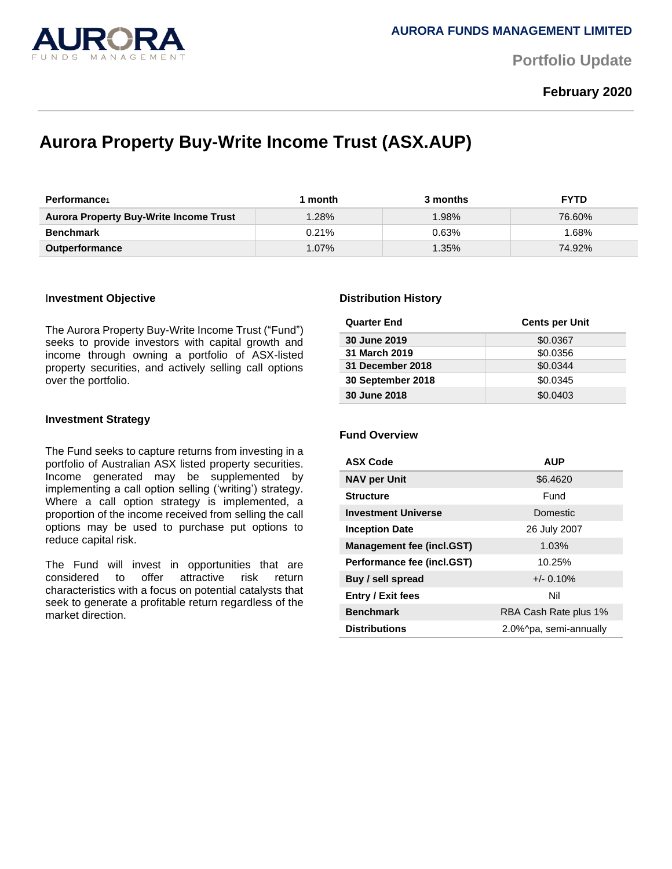

**Portfolio Update** 

## **February 2020**

# **Aurora Property Buy-Write Income Trust (ASX.AUP)**

| <b>Performance</b>                            | month    | 3 months | <b>FYTD</b> |
|-----------------------------------------------|----------|----------|-------------|
| <b>Aurora Property Buy-Write Income Trust</b> | 1.28%    | $1.98\%$ | 76.60%      |
| <b>Benchmark</b>                              | $0.21\%$ | 0.63%    | .68%        |
| <b>Outperformance</b>                         | $1.07\%$ | $1.35\%$ | 74.92%      |

#### I**nvestment Objective**

The Aurora Property Buy-Write Income Trust ("Fund") seeks to provide investors with capital growth and income through owning a portfolio of ASX-listed property securities, and actively selling call options over the portfolio.

#### **Investment Strategy**

The Fund seeks to capture returns from investing in a portfolio of Australian ASX listed property securities. Income generated may be supplemented by implementing a call option selling ('writing') strategy. Where a call option strategy is implemented, a proportion of the income received from selling the call options may be used to purchase put options to reduce capital risk.

The Fund will invest in opportunities that are considered to offer attractive risk return characteristics with a focus on potential catalysts that seek to generate a profitable return regardless of the market direction.

#### **Distribution History**

| <b>Quarter End</b> | <b>Cents per Unit</b> |
|--------------------|-----------------------|
| 30 June 2019       | \$0.0367              |
| 31 March 2019      | \$0.0356              |
| 31 December 2018   | \$0.0344              |
| 30 September 2018  | \$0.0345              |
| 30 June 2018       | \$0.0403              |

### **Fund Overview**

| <b>ASX Code</b>                  | <b>AUP</b>             |  |
|----------------------------------|------------------------|--|
| <b>NAV per Unit</b>              | \$6,4620               |  |
| <b>Structure</b>                 | Fund                   |  |
| <b>Investment Universe</b>       | <b>Domestic</b>        |  |
| <b>Inception Date</b>            | 26 July 2007           |  |
| <b>Management fee (incl.GST)</b> | 1.03%                  |  |
| Performance fee (incl.GST)       | 10.25%                 |  |
| Buy / sell spread                | $+/- 0.10%$            |  |
| <b>Entry / Exit fees</b>         | Nil                    |  |
| <b>Benchmark</b>                 | RBA Cash Rate plus 1%  |  |
| <b>Distributions</b>             | 2.0%^pa, semi-annually |  |